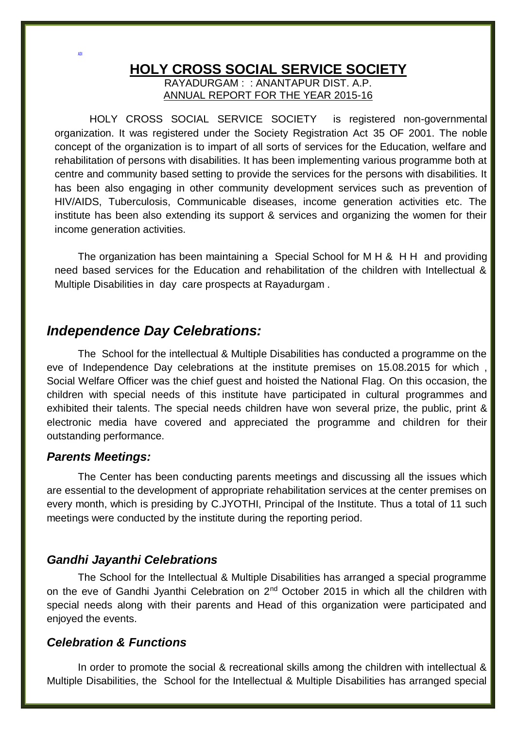### **HOLY CROSS SOCIAL SERVICE SOCIETY** RAYADURGAM : : ANANTAPUR DIST. A.P.

ANNUAL REPORT FOR THE YEAR 2015-16

 HOLY CROSS SOCIAL SERVICE SOCIETY is registered non-governmental organization. It was registered under the Society Registration Act 35 OF 2001. The noble concept of the organization is to impart of all sorts of services for the Education, welfare and rehabilitation of persons with disabilities. It has been implementing various programme both at centre and community based setting to provide the services for the persons with disabilities. It has been also engaging in other community development services such as prevention of HIV/AIDS, Tuberculosis, Communicable diseases, income generation activities etc. The institute has been also extending its support & services and organizing the women for their income generation activities.

The organization has been maintaining a Special School for M H & H H and providing need based services for the Education and rehabilitation of the children with Intellectual & Multiple Disabilities in day care prospects at Rayadurgam .

# *Independence Day Celebrations:*

The School for the intellectual & Multiple Disabilities has conducted a programme on the eve of Independence Day celebrations at the institute premises on 15.08.2015 for which , Social Welfare Officer was the chief guest and hoisted the National Flag. On this occasion, the children with special needs of this institute have participated in cultural programmes and exhibited their talents. The special needs children have won several prize, the public, print & electronic media have covered and appreciated the programme and children for their outstanding performance.

### *Parents Meetings:*

ADI

The Center has been conducting parents meetings and discussing all the issues which are essential to the development of appropriate rehabilitation services at the center premises on every month, which is presiding by C.JYOTHI, Principal of the Institute. Thus a total of 11 such meetings were conducted by the institute during the reporting period.

## *Gandhi Jayanthi Celebrations*

The School for the Intellectual & Multiple Disabilities has arranged a special programme on the eve of Gandhi Jyanthi Celebration on 2<sup>nd</sup> October 2015 in which all the children with special needs along with their parents and Head of this organization were participated and enjoyed the events.

## *Celebration & Functions*

In order to promote the social & recreational skills among the children with intellectual & Multiple Disabilities, the School for the Intellectual & Multiple Disabilities has arranged special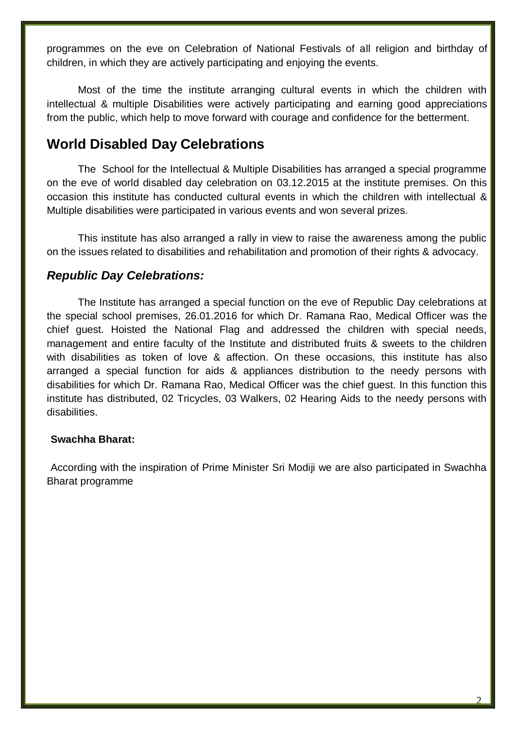programmes on the eve on Celebration of National Festivals of all religion and birthday of children, in which they are actively participating and enjoying the events.

Most of the time the institute arranging cultural events in which the children with intellectual & multiple Disabilities were actively participating and earning good appreciations from the public, which help to move forward with courage and confidence for the betterment.

# **World Disabled Day Celebrations**

The School for the Intellectual & Multiple Disabilities has arranged a special programme on the eve of world disabled day celebration on 03.12.2015 at the institute premises. On this occasion this institute has conducted cultural events in which the children with intellectual & Multiple disabilities were participated in various events and won several prizes.

This institute has also arranged a rally in view to raise the awareness among the public on the issues related to disabilities and rehabilitation and promotion of their rights & advocacy.

## *Republic Day Celebrations:*

The Institute has arranged a special function on the eve of Republic Day celebrations at the special school premises, 26.01.2016 for which Dr. Ramana Rao, Medical Officer was the chief guest. Hoisted the National Flag and addressed the children with special needs, management and entire faculty of the Institute and distributed fruits & sweets to the children with disabilities as token of love & affection. On these occasions, this institute has also arranged a special function for aids & appliances distribution to the needy persons with disabilities for which Dr. Ramana Rao, Medical Officer was the chief guest. In this function this institute has distributed, 02 Tricycles, 03 Walkers, 02 Hearing Aids to the needy persons with disabilities.

### **Swachha Bharat:**

According with the inspiration of Prime Minister Sri Modiji we are also participated in Swachha Bharat programme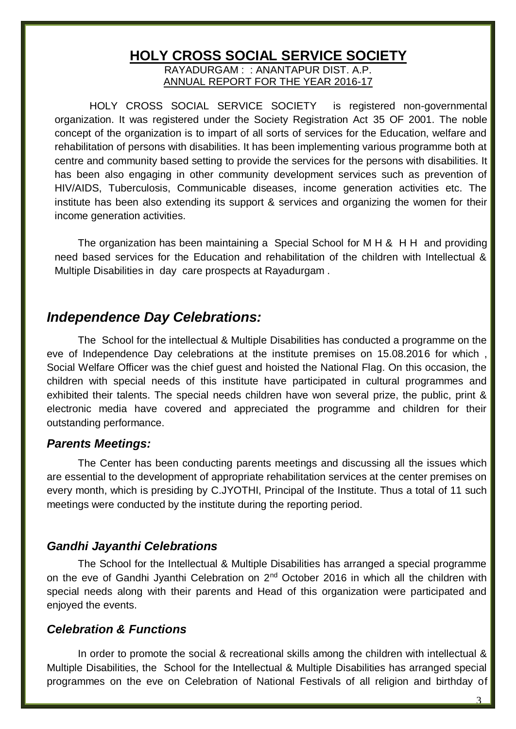# **HOLY CROSS SOCIAL SERVICE SOCIETY**

RAYADURGAM : : ANANTAPUR DIST. A.P. ANNUAL REPORT FOR THE YEAR 2016-17

 HOLY CROSS SOCIAL SERVICE SOCIETY is registered non-governmental organization. It was registered under the Society Registration Act 35 OF 2001. The noble concept of the organization is to impart of all sorts of services for the Education, welfare and rehabilitation of persons with disabilities. It has been implementing various programme both at centre and community based setting to provide the services for the persons with disabilities. It has been also engaging in other community development services such as prevention of HIV/AIDS, Tuberculosis, Communicable diseases, income generation activities etc. The institute has been also extending its support & services and organizing the women for their income generation activities.

The organization has been maintaining a Special School for M H & H H and providing need based services for the Education and rehabilitation of the children with Intellectual & Multiple Disabilities in day care prospects at Rayadurgam .

# *Independence Day Celebrations:*

The School for the intellectual & Multiple Disabilities has conducted a programme on the eve of Independence Day celebrations at the institute premises on 15.08.2016 for which , Social Welfare Officer was the chief guest and hoisted the National Flag. On this occasion, the children with special needs of this institute have participated in cultural programmes and exhibited their talents. The special needs children have won several prize, the public, print & electronic media have covered and appreciated the programme and children for their outstanding performance.

### *Parents Meetings:*

The Center has been conducting parents meetings and discussing all the issues which are essential to the development of appropriate rehabilitation services at the center premises on every month, which is presiding by C.JYOTHI, Principal of the Institute. Thus a total of 11 such meetings were conducted by the institute during the reporting period.

## *Gandhi Jayanthi Celebrations*

The School for the Intellectual & Multiple Disabilities has arranged a special programme on the eve of Gandhi Jyanthi Celebration on 2<sup>nd</sup> October 2016 in which all the children with special needs along with their parents and Head of this organization were participated and enjoyed the events.

## *Celebration & Functions*

In order to promote the social & recreational skills among the children with intellectual & Multiple Disabilities, the School for the Intellectual & Multiple Disabilities has arranged special programmes on the eve on Celebration of National Festivals of all religion and birthday of